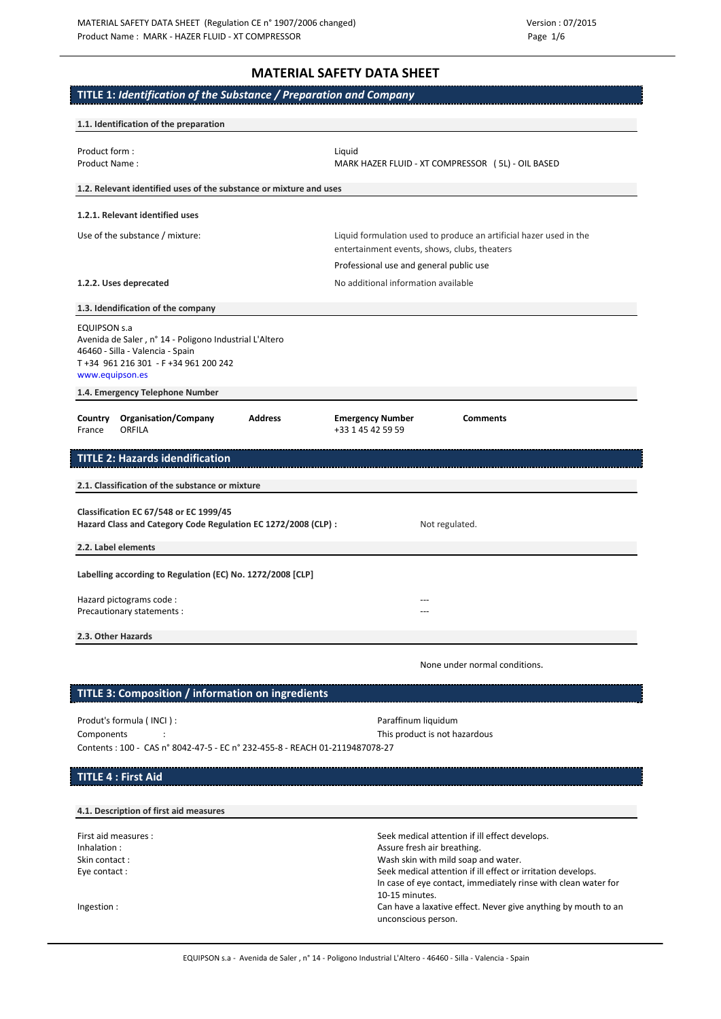# **MATERIAL SAFETY DATA SHEET**

# **TITLE 1:** *Identification of the Substance / Preparation and Company*

| 1.1. Identification of the preparation                                                                                                                                                                         |                                                                                                                                                                                                                                                                          |
|----------------------------------------------------------------------------------------------------------------------------------------------------------------------------------------------------------------|--------------------------------------------------------------------------------------------------------------------------------------------------------------------------------------------------------------------------------------------------------------------------|
| Product form:<br>Product Name:                                                                                                                                                                                 | Liquid<br>MARK HAZER FLUID - XT COMPRESSOR (5L) - OIL BASED                                                                                                                                                                                                              |
| 1.2. Relevant identified uses of the substance or mixture and uses                                                                                                                                             |                                                                                                                                                                                                                                                                          |
| 1.2.1. Relevant identified uses                                                                                                                                                                                |                                                                                                                                                                                                                                                                          |
| Use of the substance / mixture:                                                                                                                                                                                | Liquid formulation used to produce an artificial hazer used in the<br>entertainment events, shows, clubs, theaters<br>Professional use and general public use                                                                                                            |
| 1.2.2. Uses deprecated                                                                                                                                                                                         | No additional information available                                                                                                                                                                                                                                      |
| 1.3. Idendification of the company                                                                                                                                                                             |                                                                                                                                                                                                                                                                          |
| <b>EQUIPSON S.a</b><br>Avenida de Saler, nº 14 - Poligono Industrial L'Altero<br>46460 - Silla - Valencia - Spain<br>T+34 961 216 301 - F+34 961 200 242<br>www.equipson.es<br>1.4. Emergency Telephone Number |                                                                                                                                                                                                                                                                          |
| <b>Address</b><br><b>Organisation/Company</b><br>Country<br>ORFILA<br>France                                                                                                                                   | <b>Comments</b><br><b>Emergency Number</b><br>+33 1 45 42 59 59                                                                                                                                                                                                          |
| <b>TITLE 2: Hazards idendification</b>                                                                                                                                                                         |                                                                                                                                                                                                                                                                          |
| 2.1. Classification of the substance or mixture                                                                                                                                                                |                                                                                                                                                                                                                                                                          |
| <b>Classification EC 67/548 or EC 1999/45</b>                                                                                                                                                                  |                                                                                                                                                                                                                                                                          |
| Hazard Class and Category Code Regulation EC 1272/2008 (CLP) :                                                                                                                                                 | Not regulated.                                                                                                                                                                                                                                                           |
| 2.2. Label elements                                                                                                                                                                                            |                                                                                                                                                                                                                                                                          |
| Labelling according to Regulation (EC) No. 1272/2008 [CLP]                                                                                                                                                     |                                                                                                                                                                                                                                                                          |
| Hazard pictograms code:<br>Precautionary statements :                                                                                                                                                          |                                                                                                                                                                                                                                                                          |
| 2.3. Other Hazards                                                                                                                                                                                             |                                                                                                                                                                                                                                                                          |
|                                                                                                                                                                                                                | None under normal conditions.                                                                                                                                                                                                                                            |
| TITLE 3: Composition / information on ingredients                                                                                                                                                              |                                                                                                                                                                                                                                                                          |
| Produt's formula (INCI):                                                                                                                                                                                       | Paraffinum liquidum                                                                                                                                                                                                                                                      |
| Components<br>Contents: 100 - CAS n° 8042-47-5 - EC n° 232-455-8 - REACH 01-2119487078-27                                                                                                                      | This product is not hazardous                                                                                                                                                                                                                                            |
| <b>TITLE 4 : First Aid</b>                                                                                                                                                                                     |                                                                                                                                                                                                                                                                          |
| 4.1. Description of first aid measures                                                                                                                                                                         |                                                                                                                                                                                                                                                                          |
| First aid measures :<br>Inhalation:<br>Skin contact:<br>Eye contact:                                                                                                                                           | Seek medical attention if ill effect develops.<br>Assure fresh air breathing.<br>Wash skin with mild soap and water.<br>Seek medical attention if ill effect or irritation develops.<br>In case of eye contact, immediately rinse with clean water for<br>10-15 minutes. |
| Ingestion :                                                                                                                                                                                                    | Can have a laxative effect. Never give anything by mouth to an<br>unconscious person.                                                                                                                                                                                    |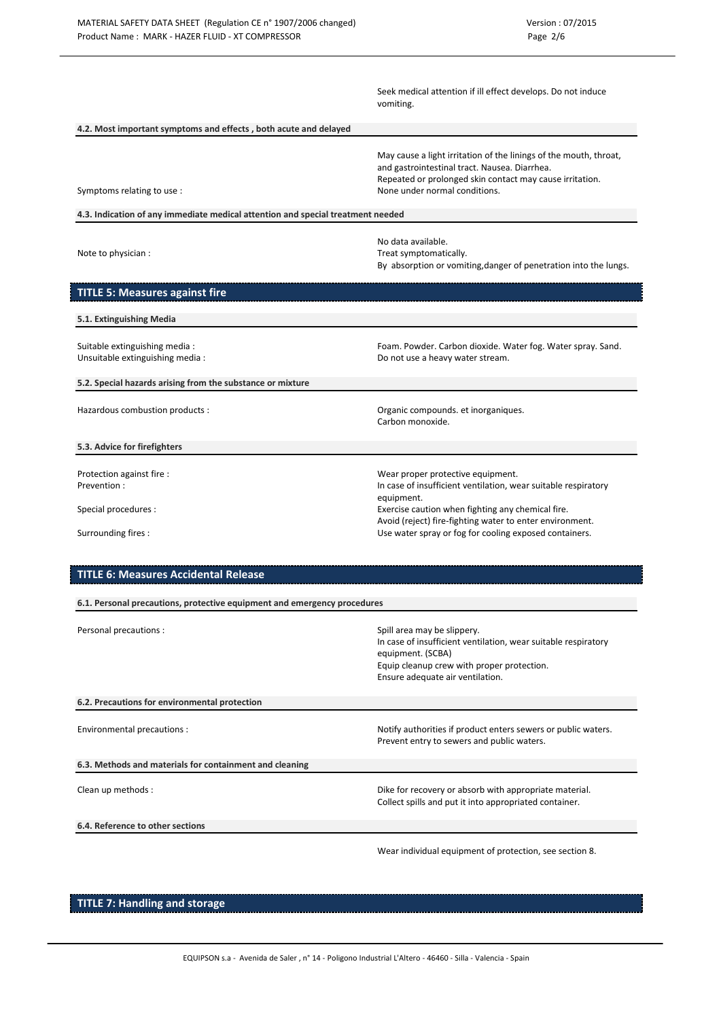|                                                                                         | Seek medical attention if ill effect develops. Do not induce<br>vomiting.                                                                                                                                                                                                                    |
|-----------------------------------------------------------------------------------------|----------------------------------------------------------------------------------------------------------------------------------------------------------------------------------------------------------------------------------------------------------------------------------------------|
| 4.2. Most important symptoms and effects, both acute and delayed                        |                                                                                                                                                                                                                                                                                              |
| Symptoms relating to use :                                                              | May cause a light irritation of the linings of the mouth, throat,<br>and gastrointestinal tract. Nausea. Diarrhea.<br>Repeated or prolonged skin contact may cause irritation.<br>None under normal conditions.                                                                              |
| 4.3. Indication of any immediate medical attention and special treatment needed         |                                                                                                                                                                                                                                                                                              |
| Note to physician :                                                                     | No data available.<br>Treat symptomatically.<br>By absorption or vomiting, danger of penetration into the lungs.                                                                                                                                                                             |
| <b>TITLE 5: Measures against fire</b>                                                   |                                                                                                                                                                                                                                                                                              |
| 5.1. Extinguishing Media                                                                |                                                                                                                                                                                                                                                                                              |
| Suitable extinguishing media :<br>Unsuitable extinguishing media:                       | Foam. Powder. Carbon dioxide. Water fog. Water spray. Sand.<br>Do not use a heavy water stream.                                                                                                                                                                                              |
| 5.2. Special hazards arising from the substance or mixture                              |                                                                                                                                                                                                                                                                                              |
| Hazardous combustion products :                                                         | Organic compounds. et inorganiques.<br>Carbon monoxide.                                                                                                                                                                                                                                      |
| 5.3. Advice for firefighters                                                            |                                                                                                                                                                                                                                                                                              |
| Protection against fire :<br>Prevention:<br>Special procedures :<br>Surrounding fires : | Wear proper protective equipment.<br>In case of insufficient ventilation, wear suitable respiratory<br>equipment.<br>Exercise caution when fighting any chemical fire.<br>Avoid (reject) fire-fighting water to enter environment.<br>Use water spray or fog for cooling exposed containers. |
| <b>TITLE 6: Measures Accidental Release</b>                                             |                                                                                                                                                                                                                                                                                              |
| 6.1. Personal precautions, protective equipment and emergency procedures                |                                                                                                                                                                                                                                                                                              |
| Personal precautions :                                                                  | Spill area may be slippery.<br>In case of insufficient ventilation, wear suitable respiratory<br>equipment. (SCBA)<br>Equip cleanup crew with proper protection.<br>Ensure adequate air ventilation.                                                                                         |
| 6.2. Precautions for environmental protection                                           |                                                                                                                                                                                                                                                                                              |
| Environmental precautions :                                                             | Notify authorities if product enters sewers or public waters.<br>Prevent entry to sewers and public waters.                                                                                                                                                                                  |
| 6.3. Methods and materials for containment and cleaning                                 |                                                                                                                                                                                                                                                                                              |
| Clean up methods :                                                                      | Dike for recovery or absorb with appropriate material.<br>Collect spills and put it into appropriated container.                                                                                                                                                                             |
| 6.4. Reference to other sections                                                        |                                                                                                                                                                                                                                                                                              |

Wear individual equipment of protection, see section 8.

**TITLE 7: Handling and storage**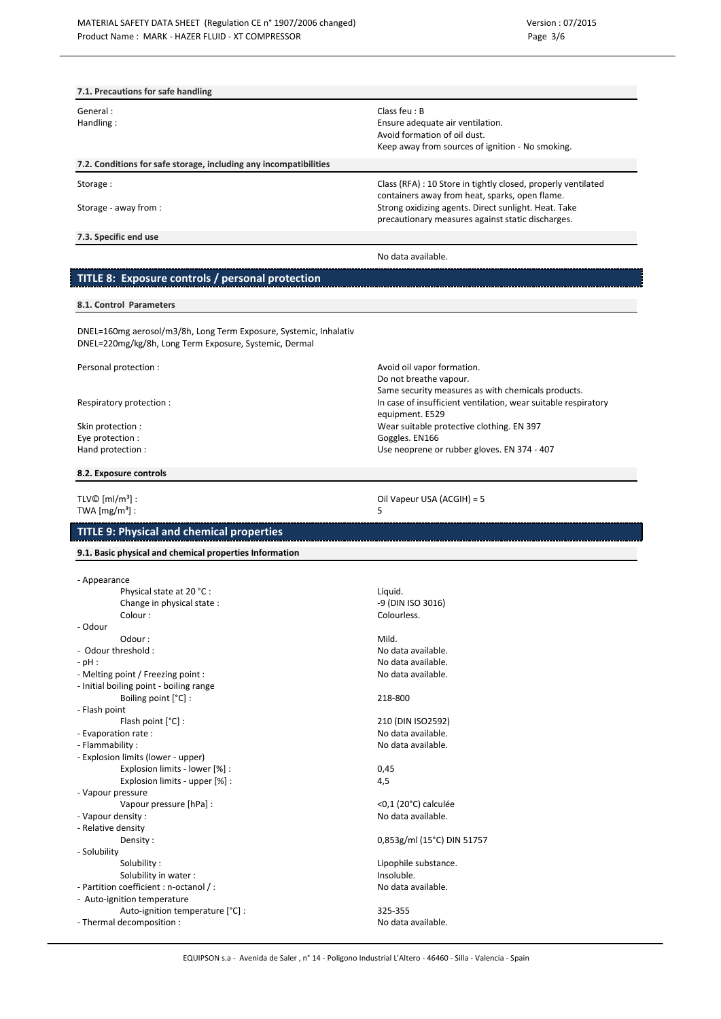| 7.1. Precautions for safe handling                                |                                                                                                                 |
|-------------------------------------------------------------------|-----------------------------------------------------------------------------------------------------------------|
| General:                                                          | Class feu: $B$                                                                                                  |
| Handling:                                                         | Ensure adequate air ventilation.                                                                                |
|                                                                   | Avoid formation of oil dust.                                                                                    |
|                                                                   | Keep away from sources of ignition - No smoking.                                                                |
| 7.2. Conditions for safe storage, including any incompatibilities |                                                                                                                 |
| Storage:                                                          | Class (RFA) : 10 Store in tightly closed, properly ventilated<br>containers away from heat, sparks, open flame. |
| Storage - away from :                                             | Strong oxidizing agents. Direct sunlight. Heat. Take<br>precautionary measures against static discharges.       |
| 7.3. Specific end use                                             |                                                                                                                 |
|                                                                   | No data available.                                                                                              |
| TITLE 8: Exposure controls / personal protection                  |                                                                                                                 |

Do not breathe vapour.

equipment. E529

Same security measures as with chemicals products.

Use neoprene or rubber gloves. EN 374 - 407

#### **8.1. Control Parameters**

DNEL=160mg aerosol/m3/8h, Long Term Exposure, Systemic, Inhalativ DNEL=220mg/kg/8h, Long Term Exposure, Systemic, Dermal

Personal protection : and the contraction of the contraction of the contraction of the contraction of the contraction.

Respiratory protection : **In case of insufficient ventilation**, wear suitable respiratory

Skin protection : wear suitable protective clothing. EN 397 Eye protection : Even and the set of the set of the set of the Goggles. EN166 Exempt and protection : Goggles. EN166 Exempt and protection :

# **8.2. Exposure controls**

TLV©  $[m/m^3]$  :  $\qquad \qquad$  TWA  $\qquad \qquad$  Oil Vapeur USA (ACGIH) = 5 TWA  $[mg/m<sup>3</sup>]$ :

# **TITLE 9: Physical and chemical properties**

**9.1. Basic physical and chemical properties Information**

| - Appearance         |                                         |                            |
|----------------------|-----------------------------------------|----------------------------|
|                      | Physical state at 20 °C :               | Liquid.                    |
|                      | Change in physical state:               | -9 (DIN ISO 3016)          |
|                      | Colour:                                 | Colourless.                |
| - Odour              |                                         |                            |
|                      | Odour:                                  | Mild.                      |
| - Odour threshold:   |                                         | No data available.         |
| $-$ pH :             |                                         | No data available.         |
|                      | - Melting point / Freezing point :      | No data available.         |
|                      | - Initial boiling point - boiling range |                            |
|                      | Boiling point [°C] :                    | 218-800                    |
| - Flash point        |                                         |                            |
|                      | Flash point [°C] :                      | 210 (DIN ISO2592)          |
| - Evaporation rate : |                                         | No data available.         |
| - Flammability:      |                                         | No data available.         |
|                      | - Explosion limits (lower - upper)      |                            |
|                      | Explosion limits - lower [%] :          | 0,45                       |
|                      | Explosion limits - upper [%] :          | 4,5                        |
| - Vapour pressure    |                                         |                            |
|                      | Vapour pressure [hPa] :                 | <0,1 (20°C) calculée       |
| - Vapour density:    |                                         | No data available.         |
| - Relative density   |                                         |                            |
|                      | Density:                                | 0,853g/ml (15°C) DIN 51757 |
| - Solubility         |                                         |                            |
|                      | Solubility:                             | Lipophile substance.       |
|                      | Solubility in water:                    | Insoluble.                 |
|                      | - Partition coefficient : n-octanol / : | No data available.         |
|                      | - Auto-ignition temperature             |                            |
|                      | Auto-ignition temperature [°C] :        | 325-355                    |
|                      | - Thermal decomposition :               | No data available.         |
|                      |                                         |                            |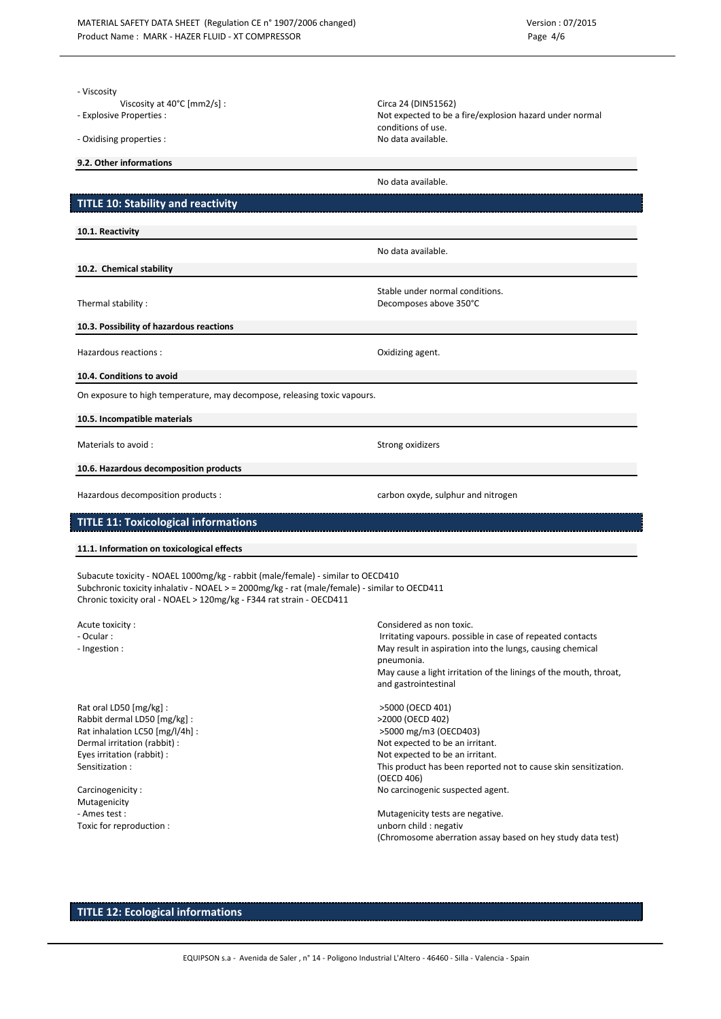| - Viscosity<br>Viscosity at $40^{\circ}$ C [mm2/s] :<br>- Explosive Properties :<br>- Oxidising properties :                                                                                                                                            | Circa 24 (DIN51562)<br>Not expected to be a fire/explosion hazard under normal<br>conditions of use.<br>No data available.                                           |
|---------------------------------------------------------------------------------------------------------------------------------------------------------------------------------------------------------------------------------------------------------|----------------------------------------------------------------------------------------------------------------------------------------------------------------------|
| 9.2. Other informations                                                                                                                                                                                                                                 |                                                                                                                                                                      |
|                                                                                                                                                                                                                                                         | No data available.                                                                                                                                                   |
| <b>TITLE 10: Stability and reactivity</b>                                                                                                                                                                                                               |                                                                                                                                                                      |
| 10.1. Reactivity                                                                                                                                                                                                                                        |                                                                                                                                                                      |
|                                                                                                                                                                                                                                                         | No data available.                                                                                                                                                   |
| 10.2. Chemical stability                                                                                                                                                                                                                                |                                                                                                                                                                      |
| Thermal stability:                                                                                                                                                                                                                                      | Stable under normal conditions.<br>Decomposes above 350°C                                                                                                            |
| 10.3. Possibility of hazardous reactions                                                                                                                                                                                                                |                                                                                                                                                                      |
| Hazardous reactions :                                                                                                                                                                                                                                   | Oxidizing agent.                                                                                                                                                     |
| 10.4. Conditions to avoid                                                                                                                                                                                                                               |                                                                                                                                                                      |
| On exposure to high temperature, may decompose, releasing toxic vapours.                                                                                                                                                                                |                                                                                                                                                                      |
| 10.5. Incompatible materials                                                                                                                                                                                                                            |                                                                                                                                                                      |
| Materials to avoid :                                                                                                                                                                                                                                    | Strong oxidizers                                                                                                                                                     |
| 10.6. Hazardous decomposition products                                                                                                                                                                                                                  |                                                                                                                                                                      |
|                                                                                                                                                                                                                                                         |                                                                                                                                                                      |
| Hazardous decomposition products :                                                                                                                                                                                                                      | carbon oxyde, sulphur and nitrogen                                                                                                                                   |
| <b>TITLE 11: Toxicological informations</b>                                                                                                                                                                                                             |                                                                                                                                                                      |
| 11.1. Information on toxicological effects                                                                                                                                                                                                              |                                                                                                                                                                      |
| Subacute toxicity - NOAEL 1000mg/kg - rabbit (male/female) - similar to OECD410<br>Subchronic toxicity inhalativ - NOAEL > = 2000mg/kg - rat (male/female) - similar to OECD411<br>Chronic toxicity oral - NOAEL > 120mg/kg - F344 rat strain - OECD411 |                                                                                                                                                                      |
| Acute toxicity:                                                                                                                                                                                                                                         | Considered as non toxic.                                                                                                                                             |
| - Ocular :                                                                                                                                                                                                                                              | Irritating vapours. possible in case of repeated contacts                                                                                                            |
| - Ingestion :                                                                                                                                                                                                                                           | May result in aspiration into the lungs, causing chemical<br>pneumonia.<br>May cause a light irritation of the linings of the mouth, throat,<br>and gastrointestinal |
| Rat oral LD50 [mg/kg] :                                                                                                                                                                                                                                 | >5000 (OECD 401)                                                                                                                                                     |
| Rabbit dermal LD50 [mg/kg] :<br>Rat inhalation LC50 [mg/l/4h] :                                                                                                                                                                                         | >2000 (OECD 402)<br>>5000 mg/m3 (OECD403)                                                                                                                            |
| Dermal irritation (rabbit) :                                                                                                                                                                                                                            | Not expected to be an irritant.                                                                                                                                      |
| Eyes irritation (rabbit) :<br>Sensitization:                                                                                                                                                                                                            | Not expected to be an irritant.                                                                                                                                      |
|                                                                                                                                                                                                                                                         | This product has been reported not to cause skin sensitization.<br>(OECD 406)                                                                                        |
| Carcinogenicity:                                                                                                                                                                                                                                        | No carcinogenic suspected agent.                                                                                                                                     |
| Mutagenicity<br>- Ames test :                                                                                                                                                                                                                           | Mutagenicity tests are negative.                                                                                                                                     |
| Toxic for reproduction :                                                                                                                                                                                                                                | unborn child : negativ<br>(Chromosome aberration assay based on hey study data test)                                                                                 |

# **TITLE 12: Ecological informations**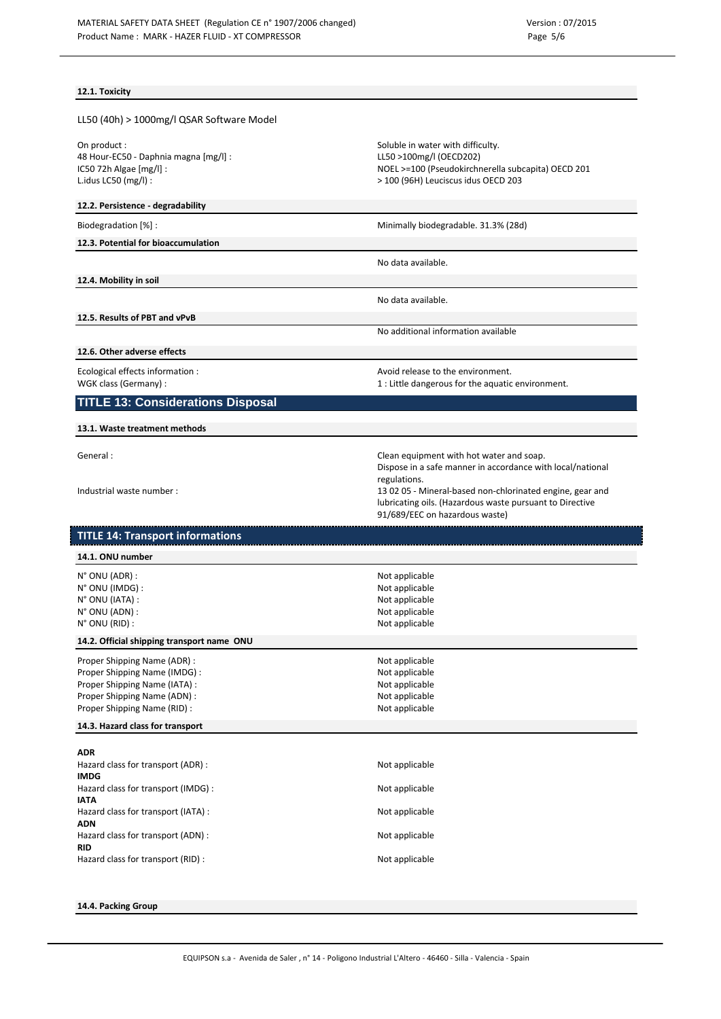### **12.1. Toxicity**

| LL50 (40h) > 1000mg/l QSAR Software Model |  |
|-------------------------------------------|--|
|-------------------------------------------|--|

On product :<br>
48 Hour-EC50 - Daphnia magna [mg/l] : Soluble in water with difficulty.<br>
48 Hour-EC50 - Daphnia magna [mg/l] : Soluble in water with difficulty. 48 Hour-EC50 - Daphnia magna [mg/l] : IC50 72h Algae [mg/l] :<br>
Lidus LC50 (mg/l) :<br>
200 (96H) Leuciscus idus OECD 203

#### **12.2. Persistence - degradability**

Biodegradation [%] : Since 2013 and Supply and Minimally biodegradable. 31.3% (28d)

#### **12.3. Potential for bioaccumulation**

**12.4. Mobility in soil**

No data available.

No data available.

**12.5. Results of PBT and vPvB**

No additional information available

> 100 (96H) Leuciscus idus OECD 203

**12.6. Other adverse effects**

Ecological effects information :  $\qquad \qquad \qquad$  Avoid release to the environment. WGK class (Germany) : 1 : Little dangerous for the aquatic environment.

# **TITLE 13: Considerations Disposal**

**13.1. Waste treatment methods**

General : Clean equipment with hot water and soap. Dispose in a safe manner in accordance with local/national regulations. Industrial waste number : 13 02 05 - Mineral-based non-chlorinated engine, gear and lubricating oils. (Hazardous waste pursuant to Directive 91/689/EEC on hazardous waste)

# **TITLE 14: Transport informations**

| 14.1. ONU number                                                                                                                                             |                                                                                        |  |
|--------------------------------------------------------------------------------------------------------------------------------------------------------------|----------------------------------------------------------------------------------------|--|
| $N^{\circ}$ ONU (ADR) :<br>N° ONU (IMDG):<br>N° ONU (IATA):                                                                                                  | Not applicable<br>Not applicable<br>Not applicable                                     |  |
| N° ONU (ADN) :<br>$N^{\circ}$ ONU (RID) :                                                                                                                    | Not applicable<br>Not applicable                                                       |  |
| 14.2. Official shipping transport name ONU                                                                                                                   |                                                                                        |  |
| Proper Shipping Name (ADR):<br>Proper Shipping Name (IMDG) :<br>Proper Shipping Name (IATA) :<br>Proper Shipping Name (ADN) :<br>Proper Shipping Name (RID): | Not applicable<br>Not applicable<br>Not applicable<br>Not applicable<br>Not applicable |  |
| 14.3. Hazard class for transport                                                                                                                             |                                                                                        |  |
| <b>ADR</b><br>Hazard class for transport (ADR):                                                                                                              | Not applicable                                                                         |  |
| <b>IMDG</b><br>Hazard class for transport (IMDG) :                                                                                                           | Not applicable                                                                         |  |
| <b>IATA</b>                                                                                                                                                  |                                                                                        |  |

Hazard class for transport (IATA) : Not applicable

Hazard class for transport (ADN) : Not applicable

**RID** Hazard class for transport (RID) : Not applicable

#### **14.4. Packing Group**

**ADN**